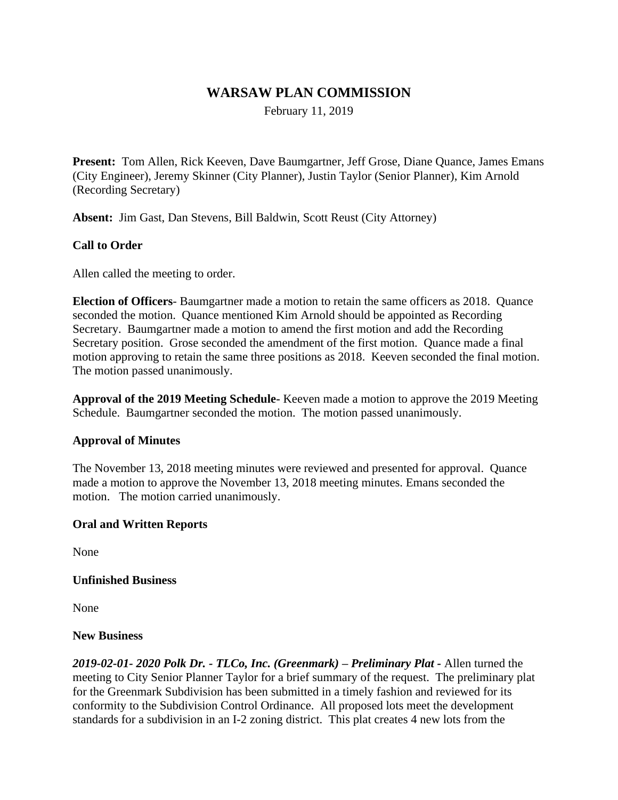# **WARSAW PLAN COMMISSION**

February 11, 2019

**Present:** Tom Allen, Rick Keeven, Dave Baumgartner, Jeff Grose, Diane Quance, James Emans (City Engineer), Jeremy Skinner (City Planner), Justin Taylor (Senior Planner), Kim Arnold (Recording Secretary)

**Absent:** Jim Gast, Dan Stevens, Bill Baldwin, Scott Reust (City Attorney)

## **Call to Order**

Allen called the meeting to order.

**Election of Officers**- Baumgartner made a motion to retain the same officers as 2018. Quance seconded the motion. Quance mentioned Kim Arnold should be appointed as Recording Secretary. Baumgartner made a motion to amend the first motion and add the Recording Secretary position. Grose seconded the amendment of the first motion. Quance made a final motion approving to retain the same three positions as 2018. Keeven seconded the final motion. The motion passed unanimously.

**Approval of the 2019 Meeting Schedule-** Keeven made a motion to approve the 2019 Meeting Schedule. Baumgartner seconded the motion. The motion passed unanimously.

#### **Approval of Minutes**

The November 13, 2018 meeting minutes were reviewed and presented for approval. Quance made a motion to approve the November 13, 2018 meeting minutes. Emans seconded the motion. The motion carried unanimously.

#### **Oral and Written Reports**

None

#### **Unfinished Business**

None

#### **New Business**

*2019-02-01- 2020 Polk Dr. - TLCo, Inc. (Greenmark) – Preliminary Plat -* Allen turned the meeting to City Senior Planner Taylor for a brief summary of the request. The preliminary plat for the Greenmark Subdivision has been submitted in a timely fashion and reviewed for its conformity to the Subdivision Control Ordinance. All proposed lots meet the development standards for a subdivision in an I-2 zoning district. This plat creates 4 new lots from the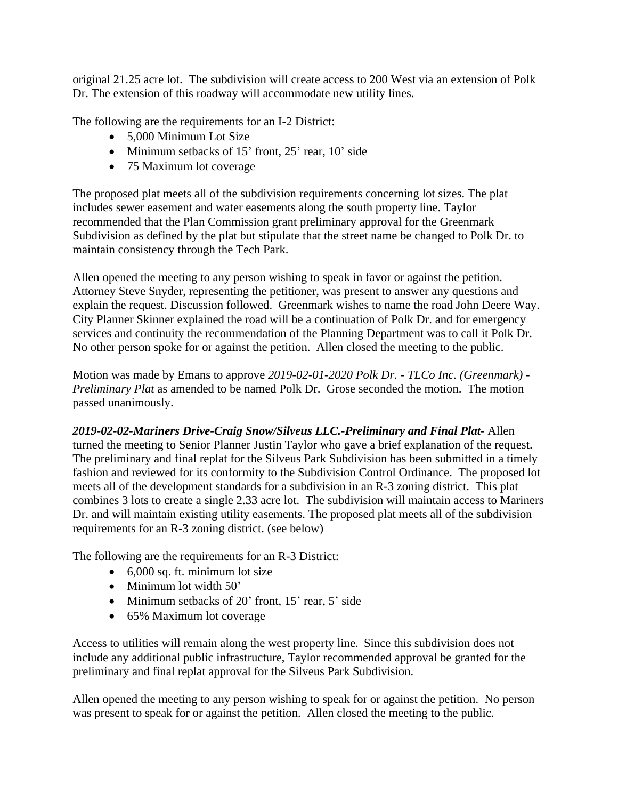original 21.25 acre lot. The subdivision will create access to 200 West via an extension of Polk Dr. The extension of this roadway will accommodate new utility lines.

The following are the requirements for an I-2 District:

- 5,000 Minimum Lot Size
- Minimum setbacks of 15' front, 25' rear, 10' side
- 75 Maximum lot coverage

The proposed plat meets all of the subdivision requirements concerning lot sizes. The plat includes sewer easement and water easements along the south property line. Taylor recommended that the Plan Commission grant preliminary approval for the Greenmark Subdivision as defined by the plat but stipulate that the street name be changed to Polk Dr. to maintain consistency through the Tech Park.

Allen opened the meeting to any person wishing to speak in favor or against the petition. Attorney Steve Snyder, representing the petitioner, was present to answer any questions and explain the request. Discussion followed. Greenmark wishes to name the road John Deere Way. City Planner Skinner explained the road will be a continuation of Polk Dr. and for emergency services and continuity the recommendation of the Planning Department was to call it Polk Dr. No other person spoke for or against the petition. Allen closed the meeting to the public.

Motion was made by Emans to approve *2019-02-01-2020 Polk Dr. - TLCo Inc. (Greenmark)* - *Preliminary Plat* as amended to be named Polk Dr. Grose seconded the motion. The motion passed unanimously.

*2019-02-02-Mariners Drive-Craig Snow/Silveus LLC.-Preliminary and Final Plat-* Allen turned the meeting to Senior Planner Justin Taylor who gave a brief explanation of the request. The preliminary and final replat for the Silveus Park Subdivision has been submitted in a timely fashion and reviewed for its conformity to the Subdivision Control Ordinance. The proposed lot meets all of the development standards for a subdivision in an R-3 zoning district. This plat combines 3 lots to create a single 2.33 acre lot. The subdivision will maintain access to Mariners Dr. and will maintain existing utility easements. The proposed plat meets all of the subdivision requirements for an R-3 zoning district. (see below)

The following are the requirements for an R-3 District:

- $\bullet$  6,000 sq. ft. minimum lot size
- Minimum lot width 50'
- $\bullet$  Minimum setbacks of 20' front, 15' rear, 5' side
- 65% Maximum lot coverage

Access to utilities will remain along the west property line. Since this subdivision does not include any additional public infrastructure, Taylor recommended approval be granted for the preliminary and final replat approval for the Silveus Park Subdivision.

Allen opened the meeting to any person wishing to speak for or against the petition. No person was present to speak for or against the petition. Allen closed the meeting to the public.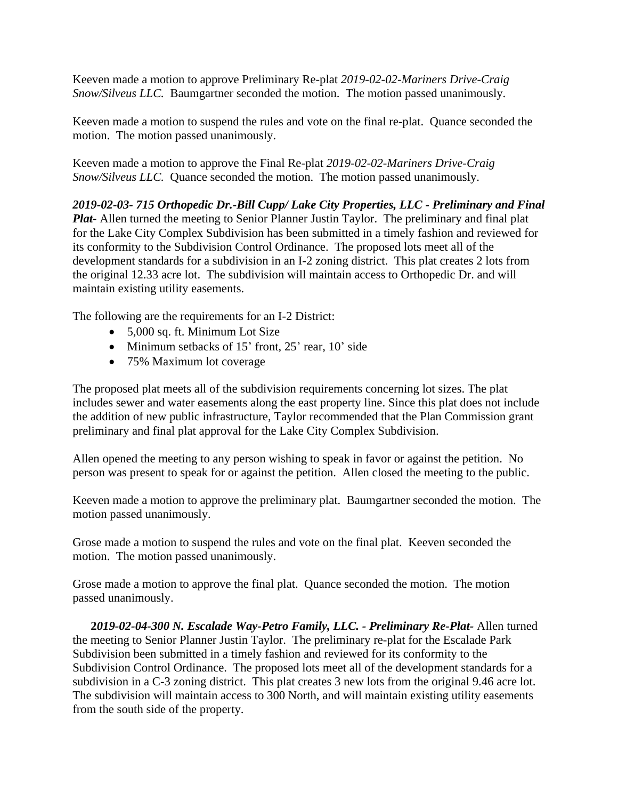Keeven made a motion to approve Preliminary Re-plat *2019-02-02-Mariners Drive-Craig Snow/Silveus LLC.* Baumgartner seconded the motion. The motion passed unanimously.

Keeven made a motion to suspend the rules and vote on the final re-plat. Quance seconded the motion. The motion passed unanimously.

Keeven made a motion to approve the Final Re-plat *2019-02-02-Mariners Drive-Craig Snow/Silveus LLC.* Quance seconded the motion. The motion passed unanimously.

*2019-02-03- 715 Orthopedic Dr.-Bill Cupp/ Lake City Properties, LLC - Preliminary and Final Plat-* Allen turned the meeting to Senior Planner Justin Taylor. The preliminary and final plat for the Lake City Complex Subdivision has been submitted in a timely fashion and reviewed for its conformity to the Subdivision Control Ordinance. The proposed lots meet all of the development standards for a subdivision in an I-2 zoning district. This plat creates 2 lots from the original 12.33 acre lot. The subdivision will maintain access to Orthopedic Dr. and will maintain existing utility easements.

The following are the requirements for an I-2 District:

- 5,000 sq. ft. Minimum Lot Size
- Minimum setbacks of 15' front, 25' rear, 10' side
- 75% Maximum lot coverage

The proposed plat meets all of the subdivision requirements concerning lot sizes. The plat includes sewer and water easements along the east property line. Since this plat does not include the addition of new public infrastructure, Taylor recommended that the Plan Commission grant preliminary and final plat approval for the Lake City Complex Subdivision.

Allen opened the meeting to any person wishing to speak in favor or against the petition. No person was present to speak for or against the petition. Allen closed the meeting to the public.

Keeven made a motion to approve the preliminary plat. Baumgartner seconded the motion. The motion passed unanimously.

Grose made a motion to suspend the rules and vote on the final plat. Keeven seconded the motion. The motion passed unanimously.

Grose made a motion to approve the final plat. Quance seconded the motion. The motion passed unanimously.

**2***019-02-04-300 N. Escalade Way-Petro Family, LLC. - Preliminary Re-Plat-* Allen turned the meeting to Senior Planner Justin Taylor. The preliminary re-plat for the Escalade Park Subdivision been submitted in a timely fashion and reviewed for its conformity to the Subdivision Control Ordinance. The proposed lots meet all of the development standards for a subdivision in a C-3 zoning district. This plat creates 3 new lots from the original 9.46 acre lot. The subdivision will maintain access to 300 North, and will maintain existing utility easements from the south side of the property.